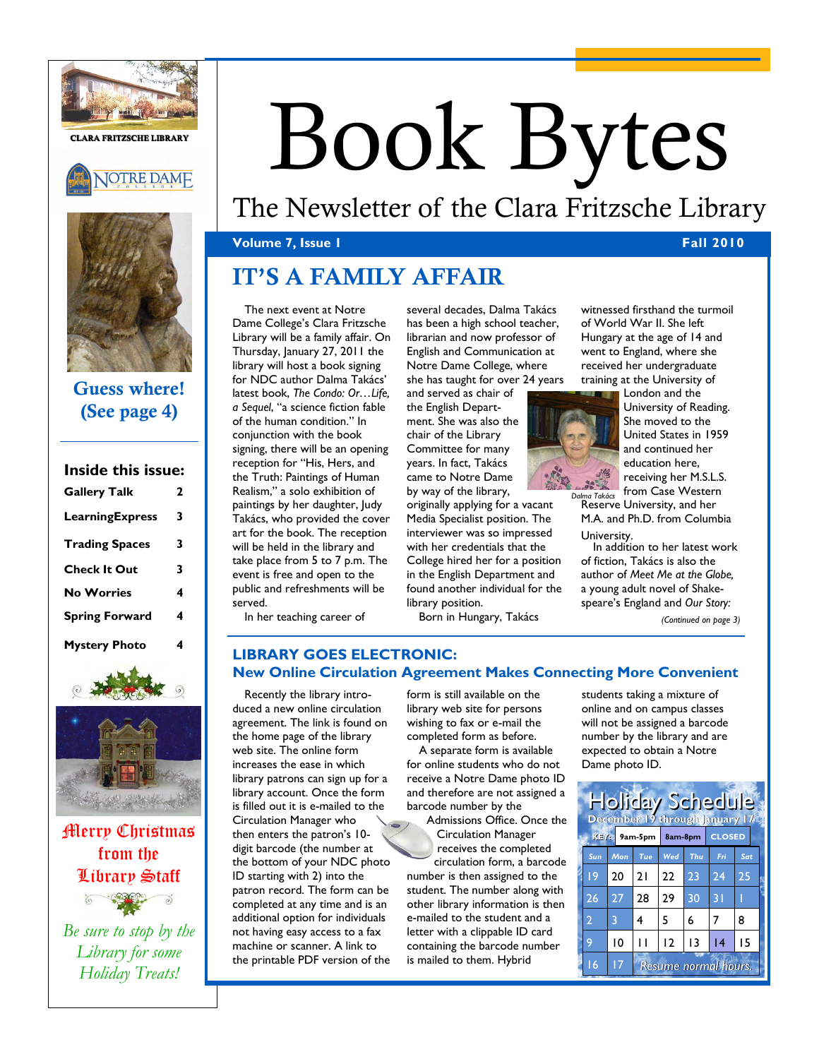

**CLARA FRITZSCHE LIBRARY**





## **Guess where! (See page 4)**

**Inside this issue:** 

| пычс инз взис.        |   |
|-----------------------|---|
| <b>Gallery Talk</b>   | 2 |
| LearningExpress       | 3 |
| <b>Trading Spaces</b> | 3 |
| <b>Check It Out</b>   | 3 |
| <b>No Worries</b>     | 4 |
| <b>Spring Forward</b> | 4 |
| <b>Mystery Photo</b>  | 4 |





Merry Christmas from the Library Staff

*Be sure to stop by the Library for some Holiday Treats!* 

# Book Bytes

# The Newsletter of the Clara Fritzsche Library

## **Volume 7, Issue 1 Fall 2010 Fall 2010**

# **IT'S A FAMILY AFFAIR**

The next event at Notre Dame College's Clara Fritzsche Library will be a family affair. On Thursday, January 27, 2011 the library will host a book signing for NDC author Dalma Takács' latest book, *The Condo: Or…Life, a Sequel*, "a science fiction fable of the human condition." In conjunction with the book signing, there will be an opening reception for "His, Hers, and the Truth: Paintings of Human Realism," a solo exhibition of paintings by her daughter, Judy Takács, who provided the cover art for the book. The reception will be held in the library and take place from 5 to 7 p.m. The event is free and open to the public and refreshments will be served.

In her teaching career of

several decades, Dalma Takács has been a high school teacher, librarian and now professor of English and Communication at Notre Dame College, where she has taught for over 24 years

and served as chair of the English Department. She was also the chair of the Library Committee for many years. In fact, Takács came to Notre Dame by way of the library,

originally applying for a vacant Media Specialist position. The interviewer was so impressed with her credentials that the College hired her for a position in the English Department and found another individual for the library position.

Born in Hungary, Takács

witnessed firsthand the turmoil of World War II. She left Hungary at the age of 14 and went to England, where she received her undergraduate training at the University of



London and the University of Reading. She moved to the United States in 1959 and continued her education here, receiving her M.S.L.S. from Case Western

Reserve University, and her *Dalma Takács*  M.A. and Ph.D. from Columbia University.

In addition to her latest work of fiction, Takács is also the author of *Meet Me at the Globe,*  a young adult novel of Shakespeare's England and *Our Story:* 

*(Continued on page 3)* 

## **LIBRARY GOES ELECTRONIC: New Online Circulation Agreement Makes Connecting More Convenient**

Recently the library introduced a new online circulation agreement. The link is found on the home page of the library web site. The online form increases the ease in which library patrons can sign up for a library account. Once the form is filled out it is e-mailed to the Circulation Manager who then enters the patron's 10 digit barcode (the number at the bottom of your NDC photo ID starting with 2) into the patron record. The form can be completed at any time and is an additional option for individuals not having easy access to a fax machine or scanner. A link to the printable PDF version of the

form is still available on the library web site for persons wishing to fax or e-mail the completed form as before.

A separate form is available for online students who do not receive a Notre Dame photo ID and therefore are not assigned a barcode number by the Admissions Office. Once the

Circulation Manager receives the completed

circulation form, a barcode number is then assigned to the student. The number along with other library information is then e-mailed to the student and a letter with a clippable ID card containing the barcode number is mailed to them. Hybrid

students taking a mixture of online and on campus classes will not be assigned a barcode number by the library and are expected to obtain a Notre Dame photo ID.

| <b>Holiday Schedule</b><br>December 19 through January 17 |                   |                                         |         |     |               |                 |     |  |  |
|-----------------------------------------------------------|-------------------|-----------------------------------------|---------|-----|---------------|-----------------|-----|--|--|
|                                                           | $K E Y$ : 9am-5pm |                                         | 8am-8pm |     | <b>CLOSED</b> |                 |     |  |  |
|                                                           | Sun               | Mon                                     | Tue     | Wed | Thu           | Fri             | Sat |  |  |
|                                                           | 19                | 20                                      | 21      | 22  | 23            | 24              | 25  |  |  |
|                                                           | 26                | 27                                      | 28      | 29  | 30            | $\overline{31}$ |     |  |  |
|                                                           | $\overline{2}$    | 3                                       | 4       | 5   | 6             | 7               | 8   |  |  |
|                                                           | 9                 | 10                                      |         | 12  | 13            | 14              | 15  |  |  |
|                                                           | 16                | $\overline{17}$<br>Resume normal hours. |         |     |               |                 |     |  |  |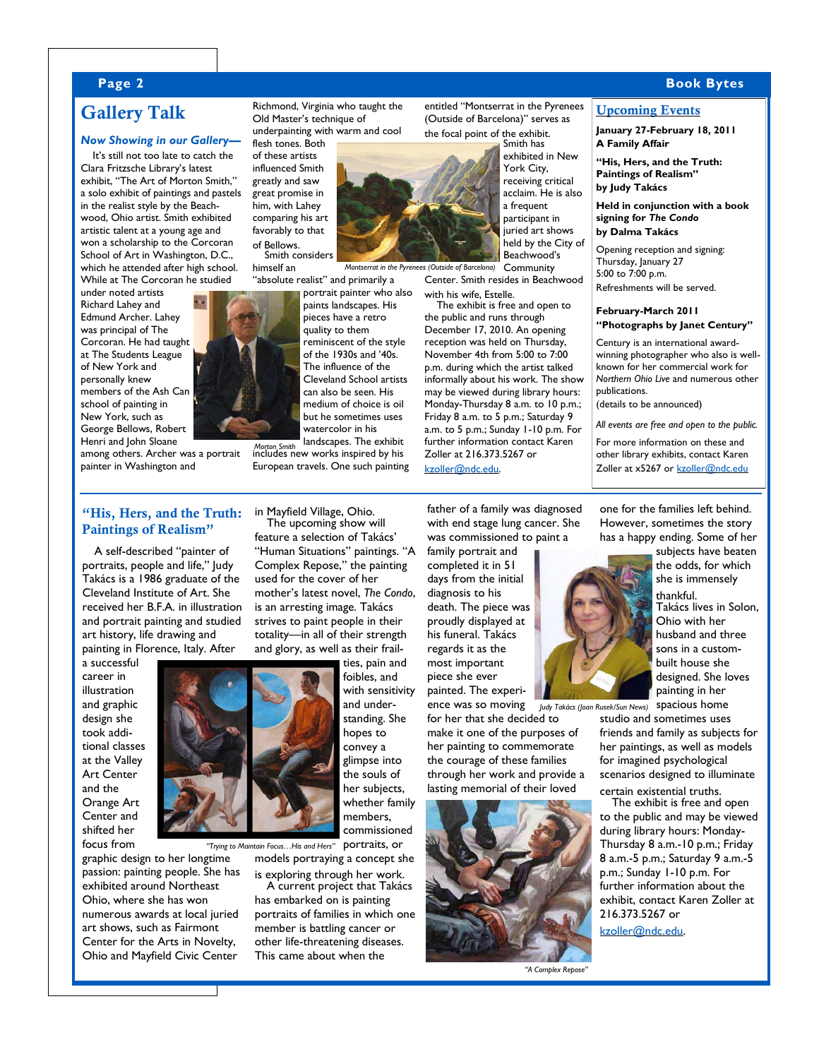#### **Page 2 Book Bytes**

## **Gallery Talk**

#### *Now Showing in our Gallery—*

It's still not too late to catch the Clara Fritzsche Library's latest exhibit, "The Art of Morton Smith," a solo exhibit of paintings and pastels in the realist style by the Beachwood, Ohio artist. Smith exhibited artistic talent at a young age and won a scholarship to the Corcoran School of Art in Washington, D.C., which he attended after high school. While at The Corcoran he studied

under noted artists Richard Lahey and Edmund Archer. Lahey was principal of The Corcoran. He had taught at The Students League of New York and personally knew members of the Ash Can school of painting in New York, such as George Bellows, Robert Henri and John Sloane

among others. Archer was a portrait painter in Washington and

#### **"His, Hers, and the Truth: Paintings of Realism"**

A self-described "painter of portraits, people and life," Judy Takács is a 1986 graduate of the Cleveland Institute of Art. She received her B.F.A. in illustration and portrait painting and studied art history, life drawing and painting in Florence, Italy. After

a successful career in illustration and graphic design she took additional classes at the Valley Art Center and the Orange Art Center and shifted her focus from

graphic design to her longtime passion: painting people. She has exhibited around Northeast Ohio, where she has won numerous awards at local juried art shows, such as Fairmont Center for the Arts in Novelty, Ohio and Mayfield Civic Center

Richmond, Virginia who taught the Old Master's technique of underpainting with warm and cool

flesh tones. Both of these artists influenced Smith greatly and saw great promise in him, with Lahey comparing his art favorably to that of Bellows.

Smith considers himself an

"absolute realist" and primarily a portrait painter who also paints landscapes. His pieces have a retro quality to them reminiscent of the style of the 1930s and '40s. The influence of the Cleveland School artists can also be seen. His medium of choice is oil but he sometimes uses watercolor in his landscapes. The exhibit

includes new works inspired by his *Morton Smith*  European travels. One such painting

in Mayfield Village, Ohio. The upcoming show will feature a selection of Takács' "Human Situations" paintings. "A Complex Repose," the painting used for the cover of her mother's latest novel, *The Condo*, is an arresting image. Takács strives to paint people in their totality—in all of their strength and glory, as well as their frail-



models portraying a concept she is exploring through her work. A current project that Takács

has embarked on is painting portraits of families in which one member is battling cancer or other life-threatening diseases. This came about when the

entitled "Montserrat in the Pyrenees (Outside of Barcelona)" serves as the focal point of the exhibit.



**Community** Center. Smith resides in Beachwood with his wife, Estelle.

The exhibit is free and open to the public and runs through December 17, 2010. An opening reception was held on Thursday, November 4th from 5:00 to 7:00 p.m. during which the artist talked informally about his work. The show may be viewed during library hours: Monday-Thursday 8 a.m. to 10 p.m.; Friday 8 a.m. to 5 p.m.; Saturday 9 a.m. to 5 p.m.; Sunday 1-10 p.m. For further information contact Karen Zoller at 216.373.5267 or [kzoller@ndc.edu.](mailto:kzoller@ndc.edu?subject=Morton%20Smith%20Art%20Exhibit) 

father of a family was diagnosed with end stage lung cancer. She was commissioned to paint a

family portrait and completed it in 51 days from the initial diagnosis to his death. The piece was proudly displayed at his funeral. Takács regards it as the most important piece she ever painted. The experi-

ence was so moving for her that she decided to make it one of the purposes of

her painting to commemorate the courage of these families through her work and provide a lasting memorial of their loved



*"A Complex Repose"*

#### **Upcoming Events**

**January 27-February 18, 2011 A Family Affair** 

**"His, Hers, and the Truth: Paintings of Realism" by Judy Takács** 

**Held in conjunction with a book signing for** *The Condo*  **by Dalma Takács** 

Opening reception and signing: Thursday, January 27 5:00 to 7:00 p.m. Refreshments will be served.

#### **February-March 2011 "Photographs by Janet Century"**

Century is an international awardwinning photographer who also is wellknown for her commercial work for *Northern Ohio Live* and numerous other publications.

(details to be announced)

*All events are free and open to the public.* 

For more information on these and other library exhibits, contact Karen Zoller at x5267 or [kzoller@ndc.edu](mailto:kzoller@ndc.edu?subject=Upcoming%20Library%20Events)

one for the families left behind. However, sometimes the story has a happy ending. Some of her



the odds, for which she is immensely thankful. Takács lives in Solon, Ohio with her husband and three

sons in a custombuilt house she designed. She loves painting in her spacious home

studio and sometimes uses friends and family as subjects for her paintings, as well as models for imagined psychological scenarios designed to illuminate certain existential truths.

The exhibit is free and open to the public and may be viewed during library hours: Monday-Thursday 8 a.m.-10 p.m.; Friday 8 a.m.-5 p.m.; Saturday 9 a.m.-5 p.m.; Sunday 1-10 p.m. For further information about the exhibit, contact Karen Zoller at 216.373.5267 or

[kzoller@ndc.edu.](mailto:kzoller@ndc.edu?subject=Judy%20Takács%20Exhibit) 



the souls of her subjects, whether family

members, commissioned portraits, or *"Trying to Maintain Focus…His and Hers"*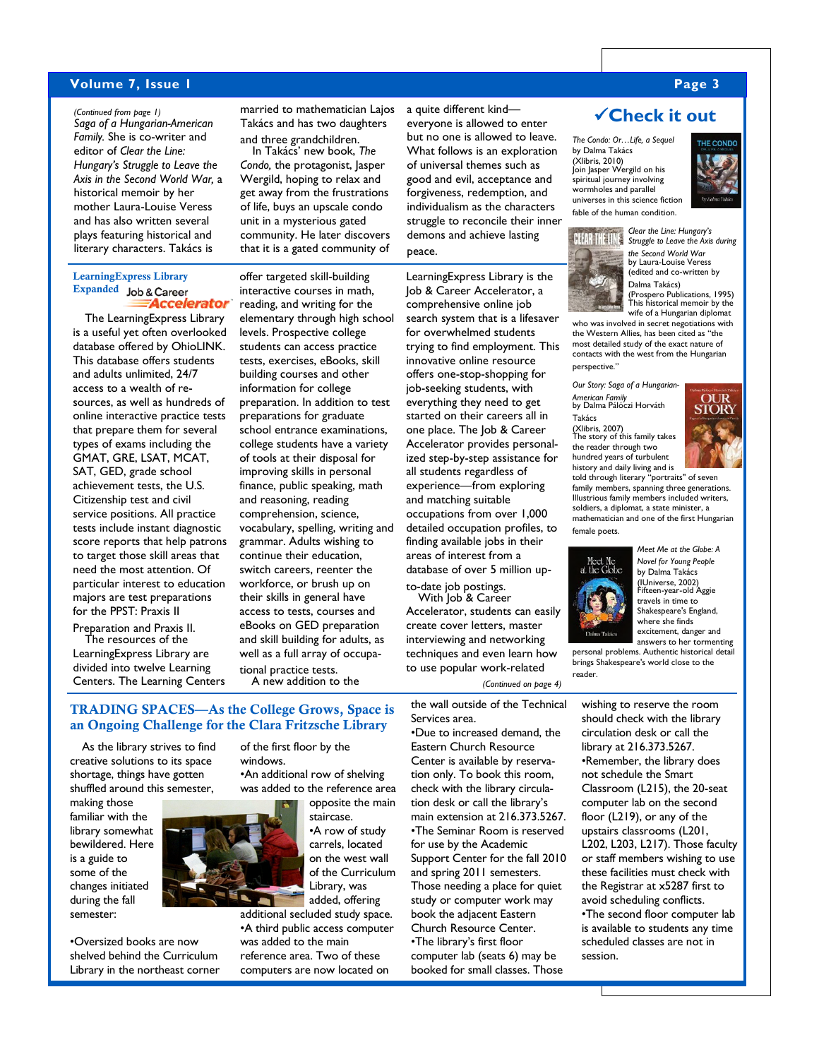#### **Volume 7, Issue 1 Page 3**

*Saga of a Hungarian-American Family.* She is co-writer and editor of *Clear the Line: Hungary's Struggle to Leave the Axis in the Second World War,* a historical memoir by her mother Laura-Louise Veress and has also written several plays featuring historical and literary characters. Takács is

#### **LearningExpress Library**  Expanded **Job & Career** Accelerator

The LearningExpress Library is a useful yet often overlooked database offered by OhioLINK. This database offers students and adults unlimited, 24/7 access to a wealth of resources, as well as hundreds of online interactive practice tests that prepare them for several types of exams including the GMAT, GRE, LSAT, MCAT, SAT, GED, grade school achievement tests, the U.S. Citizenship test and civil service positions. All practice tests include instant diagnostic score reports that help patrons to target those skill areas that need the most attention. Of particular interest to education majors are test preparations for the PPST: Praxis II Preparation and Praxis II.

The resources of the LearningExpress Library are divided into twelve Learning Centers. The Learning Centers

*(Continued from page 1)* married to mathematician Lajos Takács and has two daughters and three grandchildren.

In Takács' new book, *The Condo,* the protagonist, Jasper Wergild, hoping to relax and get away from the frustrations of life, buys an upscale condo unit in a mysterious gated community. He later discovers that it is a gated community of

offer targeted skill-building interactive courses in math, reading, and writing for the elementary through high school levels. Prospective college students can access practice tests, exercises, eBooks, skill building courses and other information for college preparation. In addition to test preparations for graduate school entrance examinations, college students have a variety of tools at their disposal for improving skills in personal finance, public speaking, math and reasoning, reading comprehension, science, vocabulary, spelling, writing and grammar. Adults wishing to continue their education,

a quite different kind everyone is allowed to enter but no one is allowed to leave. What follows is an exploration of universal themes such as good and evil, acceptance and forgiveness, redemption, and individualism as the characters struggle to reconcile their inner demons and achieve lasting

#### peace.

Job & Career Accelerator, a comprehensive online job search system that is a lifesaver for overwhelmed students trying to find employment. This innovative online resource offers one-stop-shopping for job-seeking students, with everything they need to get started on their careers all in one place. The Job & Career Accelerator provides personalized step-by-step assistance for all students regardless of experience—from exploring and matching suitable occupations from over 1,000 detailed occupation profiles, to finding available jobs in their areas of interest from a database of over 5 million up-

to-date job postings. With Job & Career

Accelerator, students can easily create cover letters, master interviewing and networking techniques and even learn how to use popular work-related

*(Continued on page 4)* 

the wall outside of the Technical Services area.

•Due to increased demand, the Eastern Church Resource Center is available by reservation only. To book this room, check with the library circulation desk or call the library's main extension at 216.373.5267. •The Seminar Room is reserved for use by the Academic Support Center for the fall 2010 and spring 2011 semesters. Those needing a place for quiet study or computer work may book the adjacent Eastern Church Resource Center. •The library's first floor computer lab (seats 6) may be booked for small classes. Those

**Check it out** 

*The Condo: Or…Life, a Sequel* by Dalma Takács (Xlibris, 2010)<br>Join Jasper Wergild on his spiritual journey involving wormholes and parallel universes in this science fiction



*Clear the Line: Hungary's* 

*Struggle to Leave the Axis during the Second World War*  by Laura-Louise Veress (edited and co-written by Dalma Takács)

(Prospero Publications, 1995) This historical memoir by the wife of a Hungarian diplomat

who was involved in secret negotiations with the Western Allies, has been cited as "the most detailed study of the exact nature of contacts with the west from the Hungarian perspective."

*Our Story: Saga of a Hungarian-American Family*  by Dalma Pálóczi Horváth Takács

(Xlibris, 2007) The story of this family takes the reader through two hundred years of turbulent history and daily living and is told through literary "portraits" of seven

**OUR STORY** 

family members, spanning three generations. Illustrious family members included writers, soldiers, a diplomat, a state minister, a mathematician and one of the first Hungarian female poets.



*Meet Me at the Globe: A Novel for Young People*  by Dalma Takács (IUniverse, 2002) Fifteen-year-old Aggie travels in time to Shakespeare's England, where she finds excitement, danger and

answers to her tormenting personal problems. Authentic historical detail brings Shakespeare's world close to the reader.

wishing to reserve the room should check with the library circulation desk or call the library at 216.373.5267. •Remember, the library does not schedule the Smart Classroom (L215), the 20-seat computer lab on the second floor (L219), or any of the upstairs classrooms (L201, L202, L203, L217). Those faculty or staff members wishing to use these facilities must check with the Registrar at x5287 first to avoid scheduling conflicts. •The second floor computer lab is available to students any time scheduled classes are not in session.

#### **TRADING SPACES—As the College Grows, Space is an Ongoing Challenge for the Clara Fritzsche Library**

As the library strives to find creative solutions to its space shortage, things have gotten shuffled around this semester,

making those familiar with the library somewhat bewildered. Here is a guide to some of the changes initiated during the fall semester:



additional secluded study space. •A third public access computer was added to the main reference area. Two of these computers are now located on

windows. •An additional row of shelving was added to the reference area opposite the main staircase.

•A row of study carrels, located on the west wall of the Curriculum Library, was added, offering

of the first floor by the

tional practice tests. A new addition to the

switch careers, reenter the workforce, or brush up on their skills in general have access to tests, courses and eBooks on GED preparation and skill building for adults, as well as a full array of occupa-

LearningExpress Library is the

fable of the human condition. **BIARTHAINS**